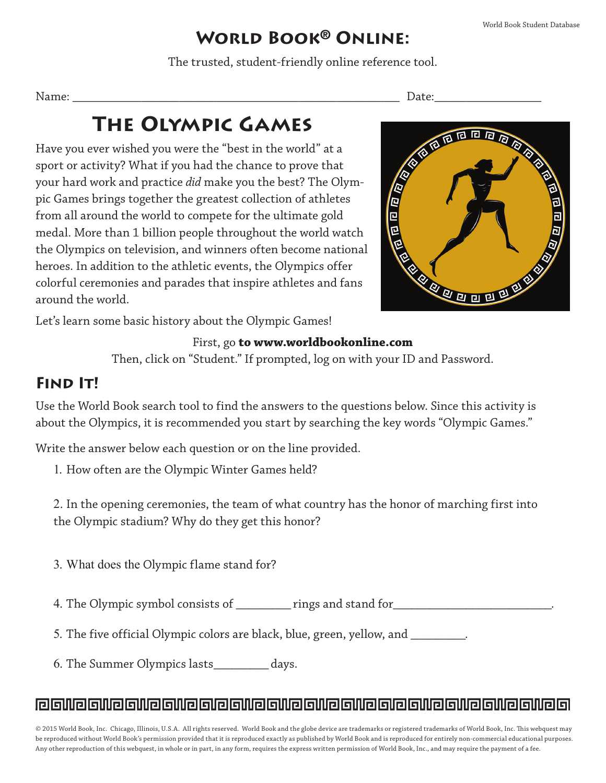## **World Book**® **Online:**

The trusted, student-friendly online reference tool.

# **The Olympic Games**

Name: \_\_\_\_\_\_\_\_\_\_\_\_\_\_\_\_\_\_\_\_\_\_\_\_\_\_\_\_\_\_\_\_\_\_\_\_\_\_\_\_\_\_\_\_\_\_\_\_\_\_\_\_ Date:\_\_\_\_\_\_\_\_\_\_\_\_\_\_\_\_\_ Have you ever wished you were the "best in the world" at a sport or activity? What if you had the chance to prove that your hard work and practice *did* make you the best? The Olympic Games brings together the greatest collection of athletes from all around the world to compete for the ultimate gold medal. More than 1 billion people throughout the world watch the Olympics on television, and winners often become national heroes. In addition to the athletic events, the Olympics offer colorful ceremonies and parades that inspire athletes and fans around the world.



Let's learn some basic history about the Olympic Games!

#### First, go **to www.worldbookonline.com**

Then, click on "Student." If prompted, log on with your ID and Password.

### **FIND IT!**

Use the World Book search tool to find the answers to the questions below. Since this activity is about the Olympics, it is recommended you start by searching the key words "Olympic Games."

Write the answer below each question or on the line provided.

1. How often are the Olympic Winter Games held?

2. In the opening ceremonies, the team of what country has the honor of marching first into the Olympic stadium? Why do they get this honor?

3. What does the Olympic flame stand for?

4. The Olympic symbol consists of \_\_\_\_\_\_\_\_\_ rings and stand for \_\_\_\_\_\_\_\_\_\_\_\_\_\_\_\_\_

5. The five official Olympic colors are black, blue, green, yellow, and \_\_\_\_\_\_\_\_.

6. The Summer Olympics lasts\_\_\_\_\_\_\_\_\_ days.

#### ra alile alile alile alile ali e alile alile alile ali e alile alile alile alile a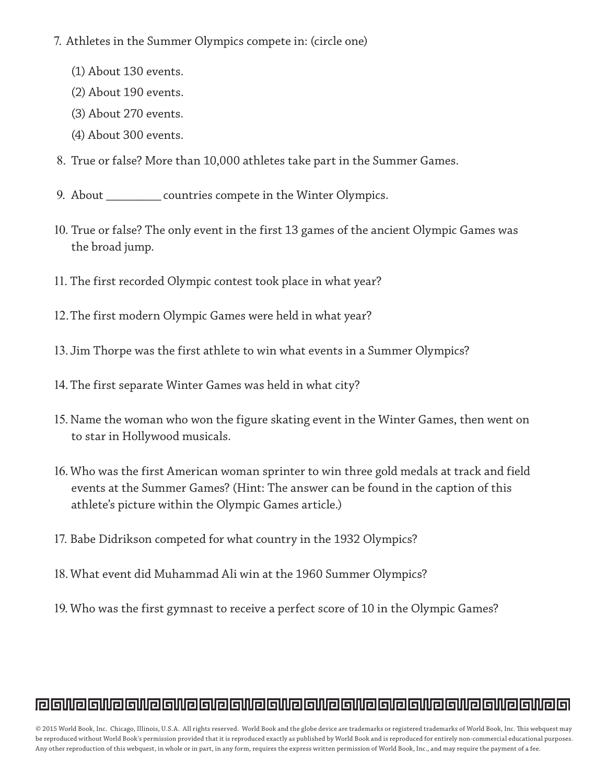- 7. Athletes in the Summer Olympics compete in: (circle one)
	- (1) About 130 events.
	- (2) About 190 events.
	- (3) About 270 events.
	- (4) About 300 events.
- 8. True or false? More than 10,000 athletes take part in the Summer Games.
- 9. About \_\_\_\_\_\_\_\_\_ countries compete in the Winter Olympics.
- 10. True or false? The only event in the first 13 games of the ancient Olympic Games was the broad jump.
- 11. The first recorded Olympic contest took place in what year?
- 12.The first modern Olympic Games were held in what year?
- 13. Jim Thorpe was the first athlete to win what events in a Summer Olympics?
- 14. The first separate Winter Games was held in what city?
- 15. Name the woman who won the figure skating event in the Winter Games, then went on to star in Hollywood musicals.
- 16.Who was the first American woman sprinter to win three gold medals at track and field events at the Summer Games? (Hint: The answer can be found in the caption of this athlete's picture within the Olympic Games article.)
- 17. Babe Didrikson competed for what country in the 1932 Olympics?
- 18.What event did Muhammad Ali win at the 1960 Summer Olympics?
- 19. Who was the first gymnast to receive a perfect score of 10 in the Olympic Games?

## ra alile alile alile alile alile alile alile alile alile alile alile alile alile a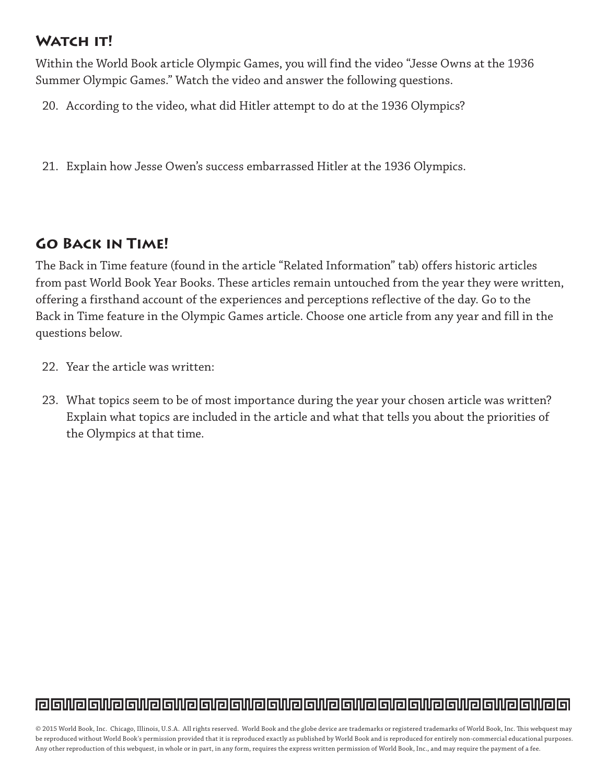#### **Watch it!**

Within the World Book article Olympic Games, you will find the video "Jesse Owns at the 1936 Summer Olympic Games." Watch the video and answer the following questions.

20. According to the video, what did Hitler attempt to do at the 1936 Olympics?

21. Explain how Jesse Owen's success embarrassed Hitler at the 1936 Olympics.

## **Go Back in Time!**

The Back in Time feature (found in the article "Related Information" tab) offers historic articles from past World Book Year Books. These articles remain untouched from the year they were written, offering a firsthand account of the experiences and perceptions reflective of the day. Go to the Back in Time feature in the Olympic Games article. Choose one article from any year and fill in the questions below.

- 22. Year the article was written:
- 23. What topics seem to be of most importance during the year your chosen article was written? Explain what topics are included in the article and what that tells you about the priorities of the Olympics at that time.

## <u>la silia silia silia silia silia silia silia silia silia silia silia silia si</u>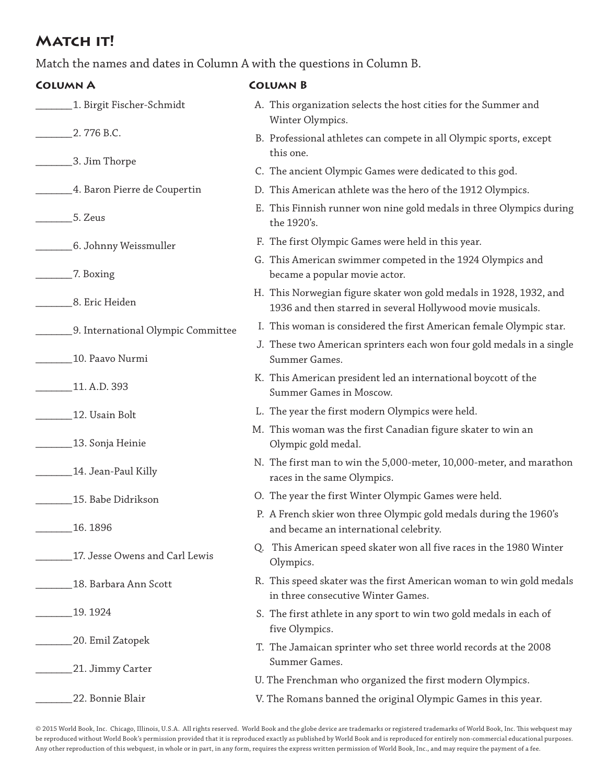#### **MATCH IT!**

Match the names and dates in Column A with the questions in Column B.

| <b>COLUMN A</b>                    | <b>COLUMN B</b>                                                                                                                  |
|------------------------------------|----------------------------------------------------------------------------------------------------------------------------------|
| 1. Birgit Fischer-Schmidt          | A. This organization selects the host cities for the Summer and<br>Winter Olympics.                                              |
| 2.776 B.C.                         | B. Professional athletes can compete in all Olympic sports, except<br>this one.                                                  |
| 3. Jim Thorpe                      | C. The ancient Olympic Games were dedicated to this god.                                                                         |
| 4. Baron Pierre de Coupertin       | D. This American athlete was the hero of the 1912 Olympics.                                                                      |
| 5. Zeus                            | E. This Finnish runner won nine gold medals in three Olympics during<br>the 1920's.                                              |
| 6. Johnny Weissmuller              | F. The first Olympic Games were held in this year.                                                                               |
| 7. Boxing                          | G. This American swimmer competed in the 1924 Olympics and<br>became a popular movie actor.                                      |
| 8. Eric Heiden                     | H. This Norwegian figure skater won gold medals in 1928, 1932, and<br>1936 and then starred in several Hollywood movie musicals. |
| 9. International Olympic Committee | I. This woman is considered the first American female Olympic star.                                                              |
| 10. Paavo Nurmi                    | J. These two American sprinters each won four gold medals in a single<br>Summer Games.                                           |
| 11. A.D. 393                       | K. This American president led an international boycott of the<br>Summer Games in Moscow.                                        |
| 12. Usain Bolt                     | L. The year the first modern Olympics were held.                                                                                 |
| 13. Sonja Heinie                   | M. This woman was the first Canadian figure skater to win an<br>Olympic gold medal.                                              |
| 14. Jean-Paul Killy                | N. The first man to win the 5,000-meter, 10,000-meter, and marathon<br>races in the same Olympics.                               |
| 15. Babe Didrikson                 | O. The year the first Winter Olympic Games were held.                                                                            |
| 16.1896                            | P. A French skier won three Olympic gold medals during the 1960's<br>and became an international celebrity.                      |
| 17. Jesse Owens and Carl Lewis     | Q. This American speed skater won all five races in the 1980 Winter<br>Olympics.                                                 |
| 18. Barbara Ann Scott              | R. This speed skater was the first American woman to win gold medals<br>in three consecutive Winter Games.                       |
| 19.1924                            | S. The first athlete in any sport to win two gold medals in each of<br>five Olympics.                                            |
| 20. Emil Zatopek                   | T. The Jamaican sprinter who set three world records at the 2008<br>Summer Games.                                                |
| 21. Jimmy Carter                   | U. The Frenchman who organized the first modern Olympics.                                                                        |
| 22. Bonnie Blair                   | V. The Romans banned the original Olympic Games in this year.                                                                    |